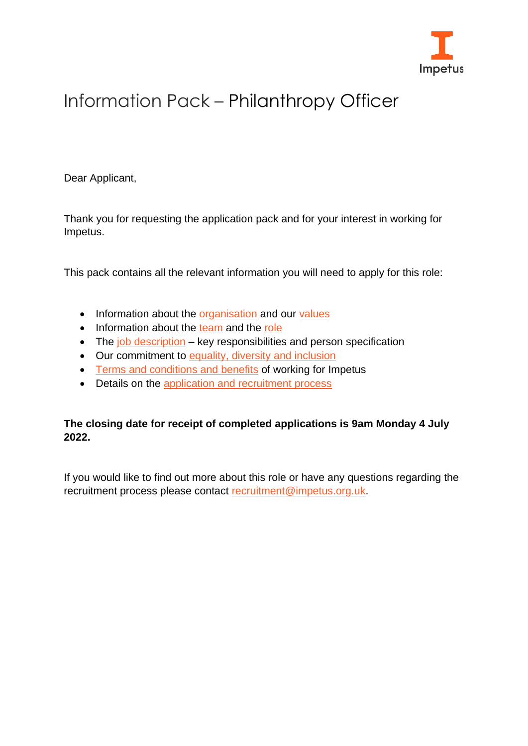

# Information Pack – Philanthropy Officer

Dear Applicant,

Thank you for requesting the application pack and for your interest in working for Impetus.

This pack contains all the relevant information you will need to apply for this role:

- Information about the [organisation](#page-1-0) and our [values](#page-1-1)
- Information about the [team](#page-2-0) and the [role](#page-2-1)
- The [job description](#page-4-0) key responsibilities and person specification
- Our commitment to [equality, diversity](#page-6-0) and inclusion
- [Terms and conditions and benefits](#page-7-0) of working for Impetus
- Details on the [application and recruitment process](#page-10-0)

#### **The closing date for receipt of completed applications is 9am Monday 4 July 2022.**

If you would like to find out more about this role or have any questions regarding the recruitment process please contact [recruitment@impetus.org.uk.](mailto:recruitment@impetus.org.uk)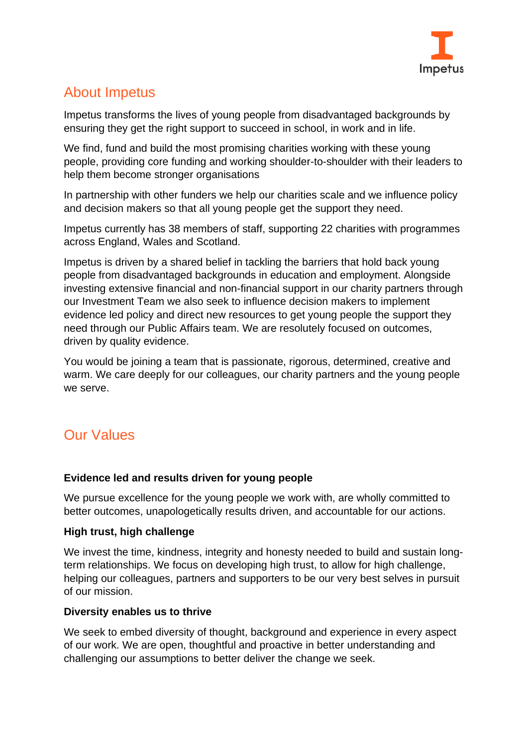

# <span id="page-1-0"></span>About Impetus

Impetus transforms the lives of young people from disadvantaged backgrounds by ensuring they get the right support to succeed in school, in work and in life.

We find, fund and build the most promising charities working with these young people, providing core funding and working shoulder-to-shoulder with their leaders to help them become stronger organisations

In partnership with other funders we help our charities scale and we influence policy and decision makers so that all young people get the support they need.

Impetus currently has 38 members of staff, supporting 22 charities with programmes across England, Wales and Scotland.

Impetus is driven by a shared belief in tackling the barriers that hold back young people from disadvantaged backgrounds in education and employment. Alongside investing extensive financial and non-financial support in our charity partners through our Investment Team we also seek to influence decision makers to implement evidence led policy and direct new resources to get young people the support they need through our Public Affairs team. We are resolutely focused on outcomes, driven by quality evidence.

You would be joining a team that is passionate, rigorous, determined, creative and warm. We care deeply for our colleagues, our charity partners and the young people we serve.

# <span id="page-1-1"></span>Our Values

#### **Evidence led and results driven for young people**

We pursue excellence for the young people we work with, are wholly committed to better outcomes, unapologetically results driven, and accountable for our actions.

#### **High trust, high challenge**

We invest the time, kindness, integrity and honesty needed to build and sustain longterm relationships. We focus on developing high trust, to allow for high challenge, helping our colleagues, partners and supporters to be our very best selves in pursuit of our mission.

#### **Diversity enables us to thrive**

We seek to embed diversity of thought, background and experience in every aspect of our work. We are open, thoughtful and proactive in better understanding and challenging our assumptions to better deliver the change we seek.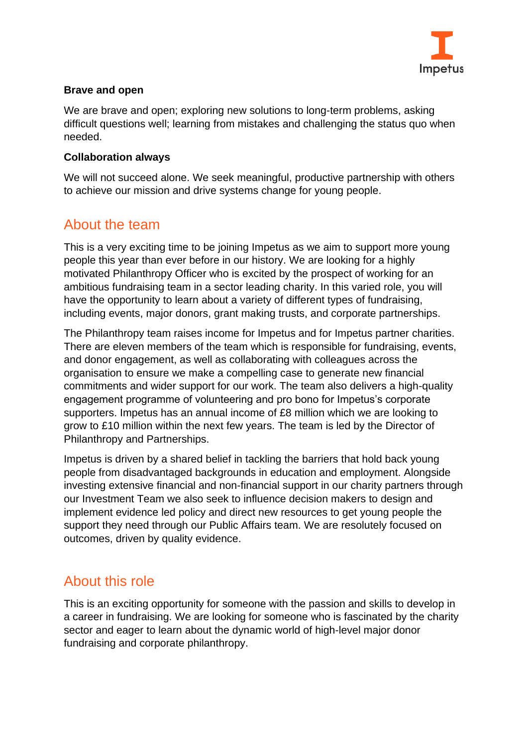

#### **Brave and open**

We are brave and open; exploring new solutions to long-term problems, asking difficult questions well; learning from mistakes and challenging the status quo when needed.

#### **Collaboration always**

We will not succeed alone. We seek meaningful, productive partnership with others to achieve our mission and drive systems change for young people.

### <span id="page-2-0"></span>About the team

This is a very exciting time to be joining Impetus as we aim to support more young people this year than ever before in our history. We are looking for a highly motivated Philanthropy Officer who is excited by the prospect of working for an ambitious fundraising team in a sector leading charity. In this varied role, you will have the opportunity to learn about a variety of different types of fundraising, including events, major donors, grant making trusts, and corporate partnerships.

The Philanthropy team raises income for Impetus and for Impetus partner charities. There are eleven members of the team which is responsible for fundraising, events, and donor engagement, as well as collaborating with colleagues across the organisation to ensure we make a compelling case to generate new financial commitments and wider support for our work. The team also delivers a high-quality engagement programme of volunteering and pro bono for Impetus's corporate supporters. Impetus has an annual income of £8 million which we are looking to grow to £10 million within the next few years. The team is led by the Director of Philanthropy and Partnerships.

Impetus is driven by a shared belief in tackling the barriers that hold back young people from disadvantaged backgrounds in education and employment. Alongside investing extensive financial and non-financial support in our charity partners through our Investment Team we also seek to influence decision makers to design and implement evidence led policy and direct new resources to get young people the support they need through our Public Affairs team. We are resolutely focused on outcomes, driven by quality evidence.

### <span id="page-2-1"></span>About this role

This is an exciting opportunity for someone with the passion and skills to develop in a career in fundraising. We are looking for someone who is fascinated by the charity sector and eager to learn about the dynamic world of high-level major donor fundraising and corporate philanthropy.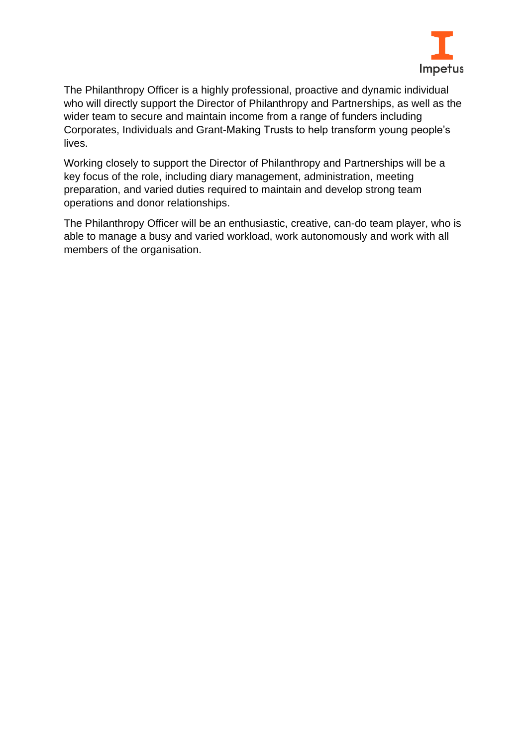

The Philanthropy Officer is a highly professional, proactive and dynamic individual who will directly support the Director of Philanthropy and Partnerships, as well as the wider team to secure and maintain income from a range of funders including Corporates, Individuals and Grant-Making Trusts to help transform young people's lives.

Working closely to support the Director of Philanthropy and Partnerships will be a key focus of the role, including diary management, administration, meeting preparation, and varied duties required to maintain and develop strong team operations and donor relationships.

The Philanthropy Officer will be an enthusiastic, creative, can-do team player, who is able to manage a busy and varied workload, work autonomously and work with all members of the organisation.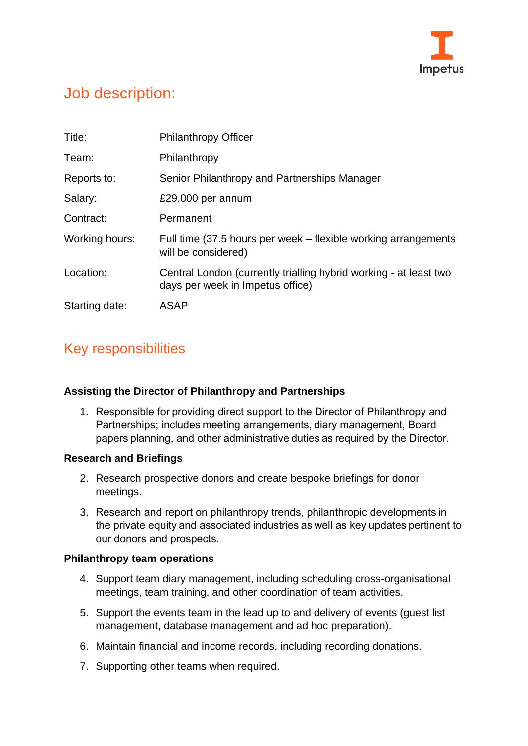

# <span id="page-4-0"></span>Job description:

| Title:         | <b>Philanthropy Officer</b>                                                                           |
|----------------|-------------------------------------------------------------------------------------------------------|
| Team:          | Philanthropy                                                                                          |
| Reports to:    | Senior Philanthropy and Partnerships Manager                                                          |
| Salary:        | £29,000 per annum                                                                                     |
| Contract:      | Permanent                                                                                             |
| Working hours: | Full time (37.5 hours per week – flexible working arrangements<br>will be considered)                 |
| Location:      | Central London (currently trialling hybrid working - at least two<br>days per week in Impetus office) |
| Starting date: | ASAP                                                                                                  |

### Key responsibilities

#### **Assisting the Director of Philanthropy and Partnerships**

1. Responsible for providing direct support to the Director of Philanthropy and Partnerships; includes meeting arrangements, diary management, Board papers planning, and other administrative duties as required by the Director. 

#### **Research and Briefings**

- 2. Research prospective donors and create bespoke briefings for donor meetings.
- 3. Research and report on philanthropy trends, philanthropic developments in the private equity and associated industries as well as key updates pertinent to our donors and prospects.

#### **Philanthropy team operations**

- 4. Support team diary management, including scheduling cross-organisational meetings, team training, and other coordination of team activities.
- 5. Support the events team in the lead up to and delivery of events (guest list management, database management and ad hoc preparation).
- 6. Maintain financial and income records, including recording donations.
- 7. Supporting other teams when required.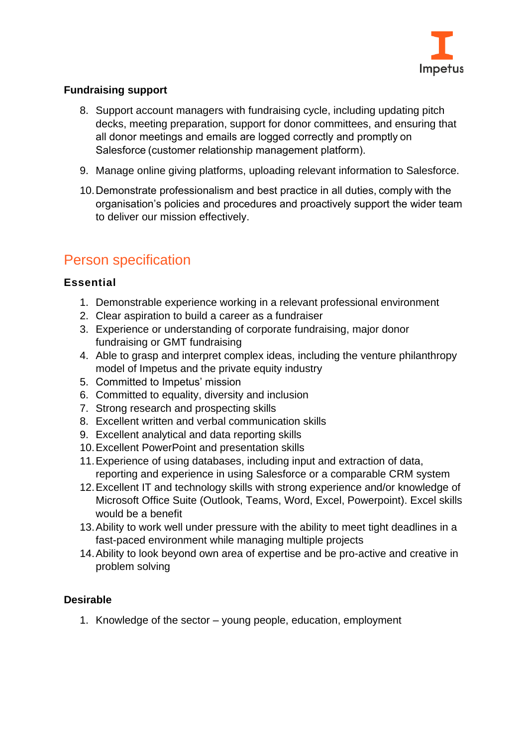

#### **Fundraising support**

- 8. Support account managers with fundraising cycle, including updating pitch decks, meeting preparation, support for donor committees, and ensuring that all donor meetings and emails are logged correctly and promptly on Salesforce (customer relationship management platform).
- 9. Manage online giving platforms, uploading relevant information to Salesforce.
- 10.Demonstrate professionalism and best practice in all duties, comply with the organisation's policies and procedures and proactively support the wider team to deliver our mission effectively.

### Person specification

#### **Essential**

- 1. Demonstrable experience working in a relevant professional environment
- 2. Clear aspiration to build a career as a fundraiser
- 3. Experience or understanding of corporate fundraising, major donor fundraising or GMT fundraising
- 4. Able to grasp and interpret complex ideas, including the venture philanthropy model of Impetus and the private equity industry
- 5. Committed to Impetus' mission
- 6. Committed to equality, diversity and inclusion
- 7. Strong research and prospecting skills
- 8. Excellent written and verbal communication skills
- 9. Excellent analytical and data reporting skills
- 10.Excellent PowerPoint and presentation skills
- 11.Experience of using databases, including input and extraction of data, reporting and experience in using Salesforce or a comparable CRM system
- 12.Excellent IT and technology skills with strong experience and/or knowledge of Microsoft Office Suite (Outlook, Teams, Word, Excel, Powerpoint). Excel skills would be a benefit
- 13.Ability to work well under pressure with the ability to meet tight deadlines in a fast-paced environment while managing multiple projects
- 14.Ability to look beyond own area of expertise and be pro-active and creative in problem solving

#### **Desirable**

1. Knowledge of the sector – young people, education, employment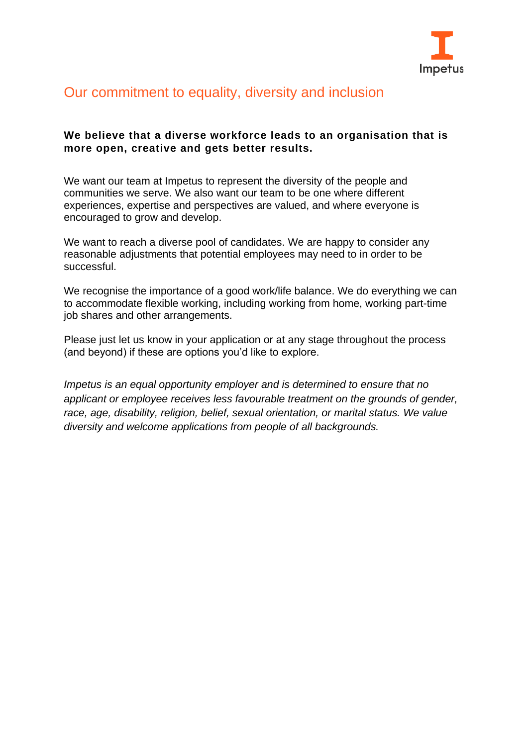

### <span id="page-6-0"></span>Our commitment to equality, diversity and inclusion

#### **We believe that a diverse workforce leads to an organisation that is more open, creative and gets better results.**

We want our team at Impetus to represent the diversity of the people and communities we serve. We also want our team to be one where different experiences, expertise and perspectives are valued, and where everyone is encouraged to grow and develop.

We want to reach a diverse pool of candidates. We are happy to consider any reasonable adjustments that potential employees may need to in order to be successful.

We recognise the importance of a good work/life balance. We do everything we can to accommodate flexible working, including working from home, working part-time job shares and other arrangements.

Please just let us know in your application or at any stage throughout the process (and beyond) if these are options you'd like to explore.

*Impetus is an equal opportunity employer and is determined to ensure that no applicant or employee receives less favourable treatment on the grounds of gender, race, age, disability, religion, belief, sexual orientation, or marital status. We value diversity and welcome applications from people of all backgrounds.*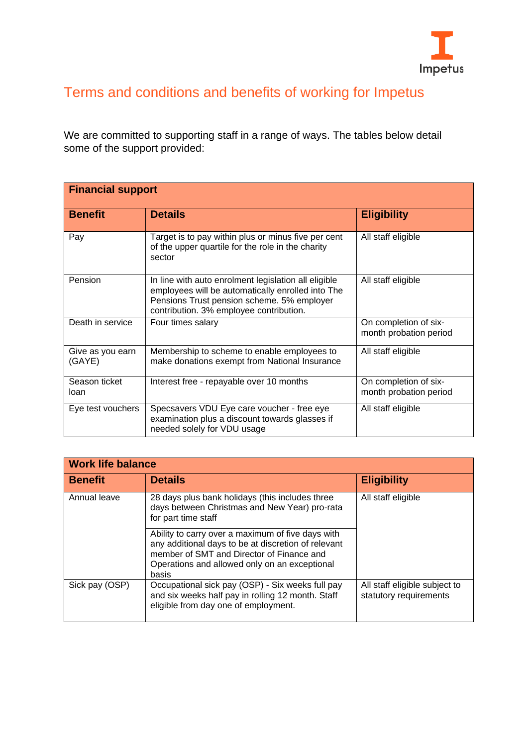

# <span id="page-7-0"></span>Terms and conditions and benefits of working for Impetus

We are committed to supporting staff in a range of ways. The tables below detail some of the support provided:

| <b>Financial support</b>   |                                                                                                                                                                                                    |                                                 |
|----------------------------|----------------------------------------------------------------------------------------------------------------------------------------------------------------------------------------------------|-------------------------------------------------|
| <b>Benefit</b>             | <b>Details</b>                                                                                                                                                                                     | <b>Eligibility</b>                              |
| Pay                        | Target is to pay within plus or minus five per cent<br>of the upper quartile for the role in the charity<br>sector                                                                                 | All staff eligible                              |
| Pension                    | In line with auto enrolment legislation all eligible<br>employees will be automatically enrolled into The<br>Pensions Trust pension scheme. 5% employer<br>contribution. 3% employee contribution. | All staff eligible                              |
| Death in service           | Four times salary                                                                                                                                                                                  | On completion of six-<br>month probation period |
| Give as you earn<br>(GAYE) | Membership to scheme to enable employees to<br>make donations exempt from National Insurance                                                                                                       | All staff eligible                              |
| Season ticket<br>loan      | Interest free - repayable over 10 months                                                                                                                                                           | On completion of six-<br>month probation period |
| Eye test vouchers          | Specsavers VDU Eye care voucher - free eye<br>examination plus a discount towards glasses if<br>needed solely for VDU usage                                                                        | All staff eligible                              |

| <b>Work life balance</b> |                                                                                                                                                                                                                 |                                                         |
|--------------------------|-----------------------------------------------------------------------------------------------------------------------------------------------------------------------------------------------------------------|---------------------------------------------------------|
| <b>Benefit</b>           | <b>Details</b>                                                                                                                                                                                                  | <b>Eligibility</b>                                      |
| Annual leave             | 28 days plus bank holidays (this includes three<br>days between Christmas and New Year) pro-rata<br>for part time staff                                                                                         | All staff eligible                                      |
|                          | Ability to carry over a maximum of five days with<br>any additional days to be at discretion of relevant<br>member of SMT and Director of Finance and<br>Operations and allowed only on an exceptional<br>basis |                                                         |
| Sick pay (OSP)           | Occupational sick pay (OSP) - Six weeks full pay<br>and six weeks half pay in rolling 12 month. Staff<br>eligible from day one of employment.                                                                   | All staff eligible subject to<br>statutory requirements |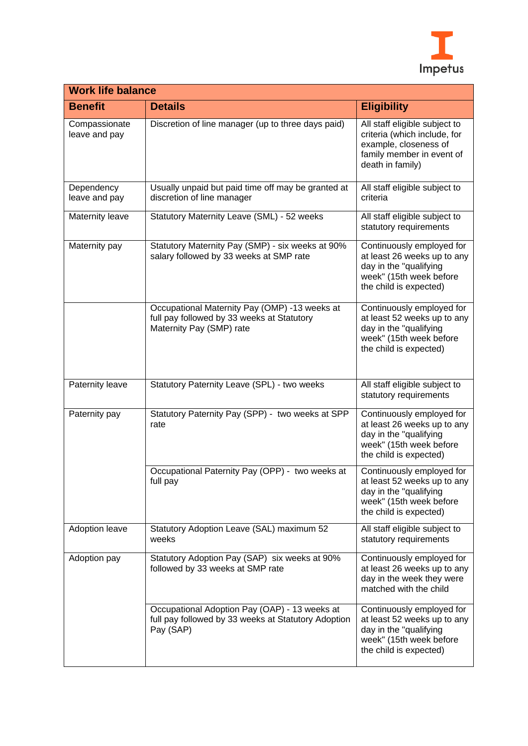

| <b>Work life balance</b>       |                                                                                                                         |                                                                                                                                         |
|--------------------------------|-------------------------------------------------------------------------------------------------------------------------|-----------------------------------------------------------------------------------------------------------------------------------------|
| <b>Benefit</b>                 | <b>Details</b>                                                                                                          | <b>Eligibility</b>                                                                                                                      |
| Compassionate<br>leave and pay | Discretion of line manager (up to three days paid)                                                                      | All staff eligible subject to<br>criteria (which include, for<br>example, closeness of<br>family member in event of<br>death in family) |
| Dependency<br>leave and pay    | Usually unpaid but paid time off may be granted at<br>discretion of line manager                                        | All staff eligible subject to<br>criteria                                                                                               |
| Maternity leave                | Statutory Maternity Leave (SML) - 52 weeks                                                                              | All staff eligible subject to<br>statutory requirements                                                                                 |
| Maternity pay                  | Statutory Maternity Pay (SMP) - six weeks at 90%<br>salary followed by 33 weeks at SMP rate                             | Continuously employed for<br>at least 26 weeks up to any<br>day in the "qualifying<br>week" (15th week before<br>the child is expected) |
|                                | Occupational Maternity Pay (OMP) -13 weeks at<br>full pay followed by 33 weeks at Statutory<br>Maternity Pay (SMP) rate | Continuously employed for<br>at least 52 weeks up to any<br>day in the "qualifying<br>week" (15th week before<br>the child is expected) |
| Paternity leave                | Statutory Paternity Leave (SPL) - two weeks                                                                             | All staff eligible subject to<br>statutory requirements                                                                                 |
| Paternity pay                  | Statutory Paternity Pay (SPP) - two weeks at SPP<br>rate                                                                | Continuously employed for<br>at least 26 weeks up to any<br>day in the "qualifying<br>week" (15th week before<br>the child is expected) |
|                                | Occupational Paternity Pay (OPP) - two weeks at<br>full pay                                                             | Continuously employed for<br>at least 52 weeks up to any<br>day in the "qualifying<br>week" (15th week before<br>the child is expected) |
| Adoption leave                 | Statutory Adoption Leave (SAL) maximum 52<br>weeks                                                                      | All staff eligible subject to<br>statutory requirements                                                                                 |
| Adoption pay                   | Statutory Adoption Pay (SAP) six weeks at 90%<br>followed by 33 weeks at SMP rate                                       | Continuously employed for<br>at least 26 weeks up to any<br>day in the week they were<br>matched with the child                         |
|                                | Occupational Adoption Pay (OAP) - 13 weeks at<br>full pay followed by 33 weeks at Statutory Adoption<br>Pay (SAP)       | Continuously employed for<br>at least 52 weeks up to any<br>day in the "qualifying<br>week" (15th week before<br>the child is expected) |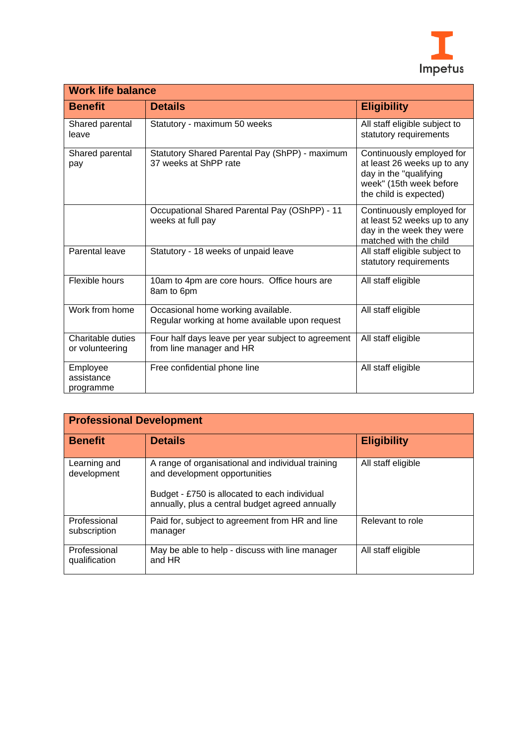

| <b>Work life balance</b>             |                                                                                      |                                                                                                                                         |
|--------------------------------------|--------------------------------------------------------------------------------------|-----------------------------------------------------------------------------------------------------------------------------------------|
| <b>Benefit</b>                       | <b>Details</b>                                                                       | <b>Eligibility</b>                                                                                                                      |
| Shared parental<br>leave             | Statutory - maximum 50 weeks                                                         | All staff eligible subject to<br>statutory requirements                                                                                 |
| Shared parental<br>pay               | Statutory Shared Parental Pay (ShPP) - maximum<br>37 weeks at ShPP rate              | Continuously employed for<br>at least 26 weeks up to any<br>day in the "qualifying<br>week" (15th week before<br>the child is expected) |
|                                      | Occupational Shared Parental Pay (OShPP) - 11<br>weeks at full pay                   | Continuously employed for<br>at least 52 weeks up to any<br>day in the week they were<br>matched with the child                         |
| Parental leave                       | Statutory - 18 weeks of unpaid leave                                                 | All staff eligible subject to<br>statutory requirements                                                                                 |
| Flexible hours                       | 10am to 4pm are core hours. Office hours are<br>8am to 6pm                           | All staff eligible                                                                                                                      |
| Work from home                       | Occasional home working available.<br>Regular working at home available upon request | All staff eligible                                                                                                                      |
| Charitable duties<br>or volunteering | Four half days leave per year subject to agreement<br>from line manager and HR       | All staff eligible                                                                                                                      |
| Employee<br>assistance<br>programme  | Free confidential phone line                                                         | All staff eligible                                                                                                                      |

| <b>Professional Development</b> |                                                                                                                                                                                        |                    |  |
|---------------------------------|----------------------------------------------------------------------------------------------------------------------------------------------------------------------------------------|--------------------|--|
| <b>Benefit</b>                  | <b>Details</b>                                                                                                                                                                         | <b>Eligibility</b> |  |
| Learning and<br>development     | A range of organisational and individual training<br>and development opportunities<br>Budget - £750 is allocated to each individual<br>annually, plus a central budget agreed annually | All staff eligible |  |
| Professional<br>subscription    | Paid for, subject to agreement from HR and line<br>manager                                                                                                                             | Relevant to role   |  |
| Professional<br>qualification   | May be able to help - discuss with line manager<br>and HR                                                                                                                              | All staff eligible |  |